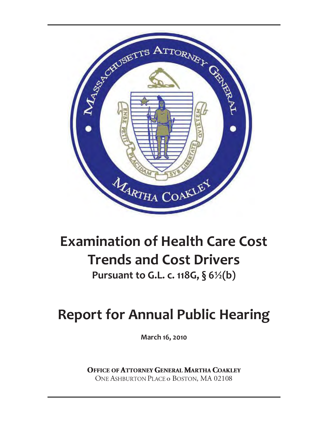

### **Examination of Health Care Cost Trends and Cost Drivers**

**Pursuant to G.L. c. 118G, § 6½(b)** 

### **Report for Annual Public Hearing**

**March 16, 2010** 

**OFFICE OF ATTORNEY GENERAL MARTHA COAKLEY** ONE ASHBURTON PLACE o BOSTON, MA 02108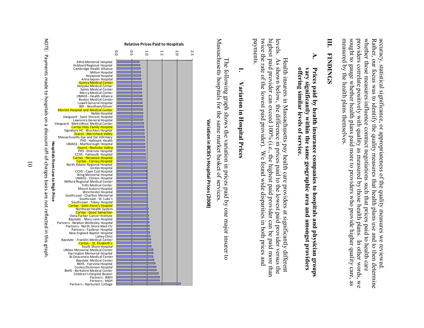measured by the health plans themselves. sought to gauge whether health plans paid more to providers who provide higher quality care, as providers correlate positively with quality as measured by those health plans. In other words, whether those measures influence contract negotiations such that prices paid to health care Rather, our focus was to identify the quality measures that health plans use and to then determine accuracy, statistical significance, or appropriateness of the quality measures we reviewed measured by the health plans themselves. sought to gauge whether health plans paid providers correlate positively with quality as measured by those health plans. In other words, we whether those measures influence contract negotiations such that prices paid to health care Rather, our focus accuracy, statistical significance, or appropriateness of the quality measures we reviewed. was to identify the quality measures that health plans use and to then determine more to providers who provide higher quality care, as We

### **III. FINDINGS FINDINGS**

## **A.** offering similar levels of service. vary significantly within the same geographic area and amongst providers Prices paid by health insurance companies to hospitals and physician groups **offering similar levels of service. vary significantly within the same geographic area and amongst providers Prices paid by health insurance companies to hospitals and physician groups**

payments. twice the rate of the lowest paid provider). levels. As shown below, the difference in prices paid to the lowest paid provider versus the highest paid provider can exceed  $100\%$  (i.e., the highest paid provider can be paid more than twice the rate of the lowest paid provider). We found wide disparities in both prices and levels. levels. As shown below, the difference in prices paid to the lowest paid provider versus the Health insurers in Massachusetts pay health care providers at significantly different Health insurers in Massachusetts pay health care providers at significantly different paid provider can exceed 100% (i.e., the highest paid provider can be paid more than We found wide disparities in both prices and

### **1.** Variation in Hospital Prices **Variation in Hospital Prices**

Massachusetts hospitals for the same market basket of services Massachusetts hospitals for the same market basket of services. The following graph shows the variation in prices paid by one major insurer The following graph shows the variation in prices paid by one major insurer to  $\overline{5}$ 



## Variation in BCBS's Hospital Prices (2008) **Variation in BCBS's Hospital Prices (2008)**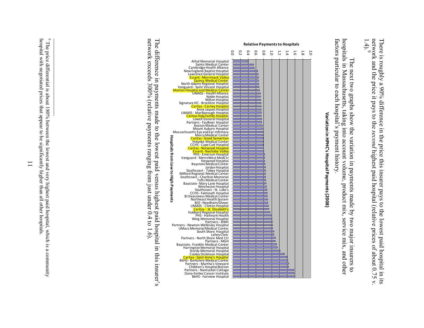network a There is roughly a 90% difference in the price this insurer pays to the lowest paid hospital in its nd the price it pays to the *second* highest paid hospital (relative prices of about 0.75 v. 1.4). 9

hospitals in Massachusetts, taking into account volume, product mix, service mix, and other factors particular to each hospital's payment history. factors particular to each hospital's payment history. hospitals in Massachusetts, taking into account volume, product mix, service mix, and other The next two graphs show the variation in payments made by two major insurers to The next two graphs show the variation in payments made by two major insurers to



Variation in HPHC's Hospital Payments (2008) **Variation in HPHC's Hospital Payments (2008)**

network exceeds 300% (relative payments ranging from just under 0.4 to 1.6). The difference in payments made to the lowest paid versus highest paid hospital in this insurer's network exceeds 300% (relative payments ranging from just under 0.4 to 1.6). The difference in payments made to the lowest paid versus highest paid hospital in this insurer's

<sup>&</sup>lt;sup>9</sup> The price differential is about 180% between the lowest and very highest paid hospital, which is a community hospital with negotiated prices that appear to be significantly higher than all other hospitals hospital with negotiated prices that appear to be significantly higher than all other hospitals. The price differential is about 180% between the lowest and very highest paid hospital, which is a community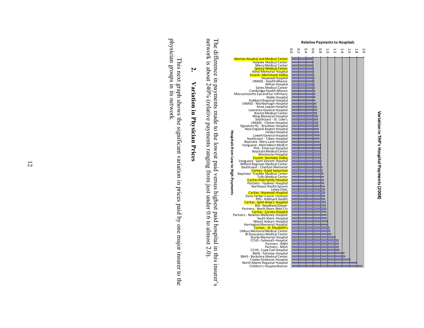



The difference in payments made to the lowest paid versus highest paid hospital in this insurer's network is about  $240\%$  (relative payments ranging from just under 0.6 to almost 2.0). network is about 240% (relative payments ranging from just under 0.6 to almost 2.0). The difference in payments made to the lowest paid versus highest paid hospital in this insurer's

## **2.** Variation in Physician Prices **Variation in Physician Prices**

physician groups in its network. physician groups in its network. This next graph shows the significant variation in prices paid by one major insurer to the This next graph shows the significant variation in prices paid by one major insurer to the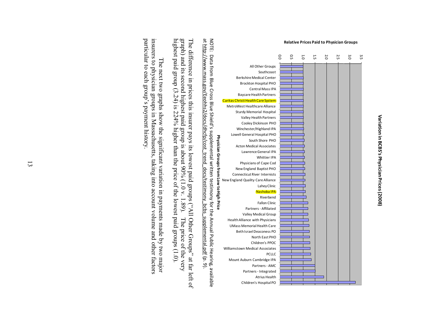



highest paid group  $(3.24)$  is 224% higher than the price of the lowest paid groups  $(1.0)$ . graph) and its second highest paid group is about  $90\%$  (1.0 v. 1.89). The difference in prices this insurer pays its lowest paid groups ("All Other Groups" at far left of highest paid group (3.24) is 224% higher than the price of the lowest paid groups (1.0). graph) and its second highest paid group is about 90% (1.0 v. 1.89). The price of the very The difference in prices this insurer pays its lowest paid groups ("All Other Groups" at far left of The price of the very

particular to each group's payment history. particular to each group's payment history. insurers The next two graphs show the significant variation in payments made by two major  $\sigma$ physician groups in Massachusetts, taking into account volume and other factors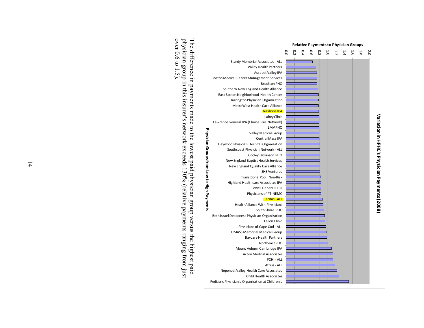![](_page_5_Figure_0.jpeg)

physician group in this insurer's network exceeds  $130\%$  (relative payments ranging from just over 0.6 to 1.5). The difference in payments made to the lowest paid physician group versus the highest paid over 0.6 to 1.5). physician group in this insurer's network exceeds 130% (relative payments ranging from just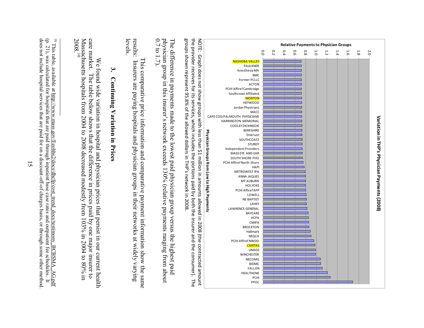![](_page_6_Figure_0.jpeg)

groups shown represent 95.8% of the allowed dollars in THP's network in 2008 the provider screives to rist, services, which includes the portions paid by both the instreu and the construmer). The groups shown represent 95.8% of the allowed dollars in the provider receives for its services, which includes the portions paid by both the insurer and the consumer). The NOTE: Graph does not show groups with less than \$1 million in amounts allowed in 2008 (the contracted amount NOTE: Graph does not show groups with less than \$1 million in amounts allowed in 2008 (the contracted amount THP's network in 2008.

The difference in payments made to the lowest paid physician group versus the highest paid<br>physician group in this insurer's network exceeds 130% (relative payments ranging from about The difference in payments made to the lowest paid physician group versus the highest paid n group in this insurer's network exceeds 130% (relative payments ranging from about 0.7 to 1.7).

results: Insurers are paying hospitals and physician groups in their networks at widely varying levels. results: Insurers are paying hospitals and physician groups in their networks at widely varying This comparative price information and comparative payment information show the same This comparative price information and comparative payment information show the same

## **3.** Continuing Variation in Prices **Continuing Variation in Prices**

care market. 2008. Massachusetts hospitals from 2004 to 2008 decreased modestly from 103% in 2004 to 80% in care market. The table below shows that the difference in prices paid by one major insurer to  $\overline{0}$ We found wide variation in hospital and physician prices that persist in our current health We found wide variation in hospital and physician prices that persist in our current health The table below shows that the difference in prices paid by one major insurer to

<sup>&</sup>lt;sup>10</sup> This table, available at <u>http://www.mass.gov/Eeohhs2/docs/dhcfp/cost\_trend\_docs/testimony\_BCBSMA\_AG</u><br>(p. 21), was calculated for hospitals that are paid through inpatient base case rates and outpatient fee schedules does not include hospital services that are paid for on a discount-off-of charges basis, or through some other method does not include hospital services that are paid for on a discount-off-of charges basis, or through some other method. (p. 21), was calculated for hospitals that are paid through inpatient base case rates and outpatient fee schedules. It and the state of the state of the This table, available at http://www.mass.gov/Eeohhs2/docs/dhcfp/cost\_trend\_docs/testimony\_BCBSMA\_AG.pdf AG.pdf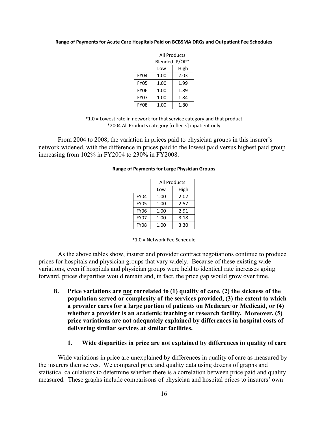### **Range of Payments for Acute Care Hospitals Paid on BCBSMA DRGs and Outpatient Fee Schedules**

|             | <b>All Products</b> |      |  |
|-------------|---------------------|------|--|
|             | Blended IP/OP*      |      |  |
|             | Low                 | High |  |
| FY04        | 1.00                | 2.03 |  |
| <b>FY05</b> | 1.00                | 1.99 |  |
| <b>FY06</b> | 1.00                | 1.89 |  |
| FY07        | 1.00                | 1.84 |  |
| <b>FY08</b> | 1.00                | 1.80 |  |

\*1.0 = Lowest rate in network for that service category and that product \*2004 All Products category [reflects] inpatient only

From 2004 to 2008, the variation in prices paid to physician groups in this insurer's network widened, with the difference in prices paid to the lowest paid versus highest paid group increasing from 102% in FY2004 to 230% in FY2008.

### **Range of Payments for Large Physician Groups**

|             | All Products |      |  |  |
|-------------|--------------|------|--|--|
|             | Low          | High |  |  |
| <b>FY04</b> | 1.00         | 2.02 |  |  |
| <b>FY05</b> | 1.00         | 2.57 |  |  |
| <b>FY06</b> | 1.00         | 2.91 |  |  |
| <b>FY07</b> | 1.00         | 3.18 |  |  |
| <b>FY08</b> | 1.00         | 3.30 |  |  |

<sup>\*1.0 =</sup> Network Fee Schedule

As the above tables show, insurer and provider contract negotiations continue to produce prices for hospitals and physician groups that vary widely. Because of these existing wide variations, even if hospitals and physician groups were held to identical rate increases going forward, prices disparities would remain and, in fact, the price gap would grow over time.

**B. Price variations are not correlated to (1) quality of care, (2) the sickness of the population served or complexity of the services provided, (3) the extent to which a provider cares for a large portion of patients on Medicare or Medicaid, or (4) whether a provider is an academic teaching or research facility. Moreover, (5) price variations are not adequately explained by differences in hospital costs of delivering similar services at similar facilities.** 

### **1. Wide disparities in price are not explained by differences in quality of care**

Wide variations in price are unexplained by differences in quality of care as measured by the insurers themselves. We compared price and quality data using dozens of graphs and statistical calculations to determine whether there is a correlation between price paid and quality measured. These graphs include comparisons of physician and hospital prices to insurers' own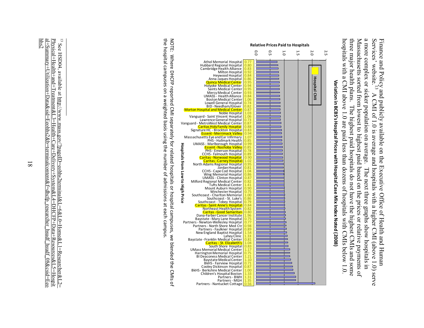a more complex or sicker population on average. hospitals with a CMI above 1.0 are paid less than dozens of hospitals with CMIs below 1.0. Massachusetts sorted from lowest to highest paid based on the prices or relative payments of<br>three major health plans. The highest paid hospitals do not have the highest CMIs and some Finance and Policy and publicly available on the Executive Office of Health and Human Services' website.<sup>13</sup> A CMI of 1.0 is average and hospitals with a higher CMI (above 1.4 Services' website.<sup>13</sup> A CMI of 1.0 is averag hospitals with a CMI above 1.0 are paid less than dozens of hospitals with CMIs below 1.0. Massachusetts sorted from lowest to highest paid based on the prices or relative payments of a more complex or sicker population on average. The next three graphs show hospitals in Services' website. Finance and Policy and publicly available on the Executive Office of Health and Human health plans. The highest paid hospitals do not have the highest CMIs and some A CMI of 1.0 is average and hospitals with a higher CMI (above 1.0) serve A CMI of 1.0 is average and hospitals with a higher CMI (above 1.0) serve The next three graphs show hospitals in

![](_page_8_Figure_1.jpeg)

Variation in BCBS's Hospital Prices with Hospital Case Mix Index Noted (2008) **Variation in BCBS's Hospital Prices with Hospital Case Mix Index Noted (2008)**

the hospital campuses on a weighted basis using the number of admissions at each campus NOTE: Where DHCFP reported CMI separately for related hospitals or hospital campuses, we blended the CMIs of the hospital campuses on a weighted basis using the number of admissions at each campus. NOTE: Where DHCFP reported CMI separately for related hospitals or hospital campuses, we blended the CMIs of

 $\frac{1}{3}$  See HSD04, available at http://www.mass.gov/?pageID=eohhs2terminal&L=6&L0=Home&L1=Researcher&L2= hhs2 al+Summary+Utilization+Data&sid=Eeohhs2&b=terminalcontent&f=dhcfp\_researcher\_hsudf\_hsudf\_08&csid=Eeo Physical+Health+and+Treatment&L3=Health+Care+Delivery+System&L4=DHCFP+Data+Resources&L5=Hospit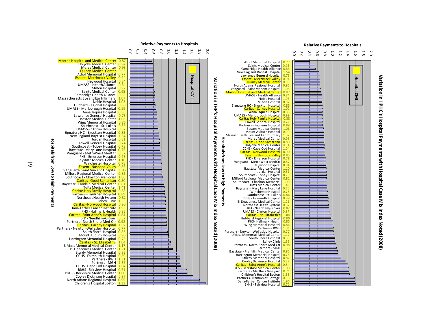![](_page_9_Figure_0.jpeg)

# Variation in HPHC's Hospital Payments with Hospital Case Mix Index Noted (2008) **Variation in HPHC's Hospital Payments with Hospital Case Mix Index Noted (2008)**

![](_page_9_Figure_3.jpeg)

**Hospitals from Low to High Payments**

៊

**High Payments** 

Hospitals from Low

 $\overline{6}$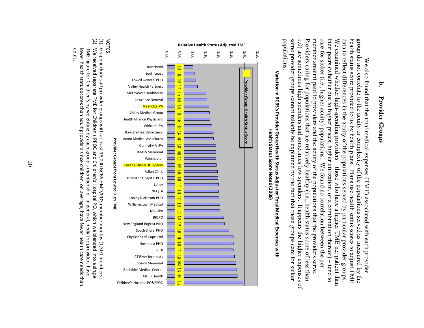### **b.** Provider Groups **Provider Groups**

some provider groups cannot reliably be explained by the fact that these groups care for sicker data to reflect differences in the acuity of the populations served by particular provider groups. populations. member amount paid to providers and the acuity of the populations that the providers serve care for sicker (i.e., higher acuity) populations. We examined whether high-spending providers – those who have a higher TME per patient than<br>their peers (whether due to higher prices, higher utilization, or a combination thereof) – tend to group do not correlate to the acuity or complexity of the populations served as measured by the health status score provided to us by health plans. Plans use health status scores to adjust TME populations. some provider groups cannot reliably be explained by the fact that these groups care for sicker 1.0) are sometimes high spenders and sometimes low spenders. Providers caring for populations that are relatively healthy (i.e., health status score of less than 1.0) are sometimes high spenders and sometimes low spenders. It appears the higher expenses of 1.0) 1.0) are sometimes high spenders and sometimes low spenders. It appears the higher Providers caring for populations that are relatively healthy (i.e., health status score of less than member amount paid to providers and the acuity of the populations that the providers serve. care for sicker (i.e., higher acuity) populations. We found no correlation between the per We examined whether high-spending providers – those who have a higher TME per patient than data to reflect differences in the acuity of the populations served by particular provider groups. group do not correlate to the acuity or complexity of the populations served as measured by the We also found that the total medical expenses (TME) associated with each provider h status score provided to us by health plans. Plans use health status scores to adjust TME We also found that the total medical expenses (TME) associated with each provider rs (whether due to higher prices, higher utilization, or a combination thereof) – tend to We found no correlation between the per

![](_page_10_Figure_2.jpeg)

![](_page_10_Figure_3.jpeg)

(2) We received separate TME for Children's PPOC and Children's Mospital PO, which we blended into a single Graph includes all provider groups with at least 18,000 BCBS HMO/POS member months (1,500 members) adults. lower health status scores than adult providers since children, on average, have fewer health care needs than lower health status scores than adult providers since children, on average, have fewer health care needs than TME figure for Children's by weighting by each group's membership. In general, pediatric providers have We received separate TME for Graph includes all provider groups with at least 18,000 BCBS HMO/POS member months (1,500 members). for Children's by weighting by Children's PPOC and Children's Hospital PO, which we each group's membership. In general, pediatric providers have blended into a single

 $\Xi$ NOTES: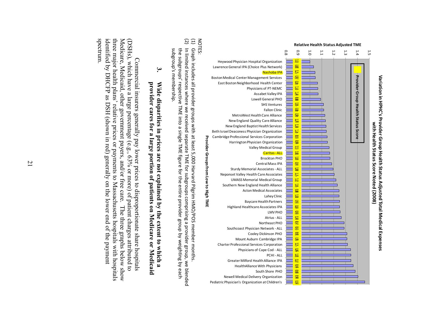![](_page_11_Figure_0.jpeg)

## Variation in HPHC's Provider Group Health Status Adjusted Total Medical Expenses **Variation in HPHC's Provider Group Health Status Adjusted Total Medical Expenses**with Health Status Score Noted (2008) **with Health Status Score Noted (2008)**

NOTES:

- Graph includes all provider groups with at least 5,000 Harvard Pilgrim HMO/POS member months. Graph includes all provider groups with at least 5,000 Harvard Pilgrim HMO/POS member months.
- (2)  $\Xi$ In limited instances where we received separate TME for subgroups comprising a provider group, we blended the subgroups' respective TME into a single TME figure for the entire provider group by weighting by each the subgroups' respective TME into a single TME figure for the entire provider In limited instances where we received separate TME for subgroups comprising a provider group, we blended membership. group by weighting by each

subgroup's

## **3.** provider cares for a large portion of patients on Medicare or Medicaid **provider cares for a large portion of patients on Medicare or Medicaid**  Wide disparities in prices are not explained by the extent to which a **Wide disparities in prices are not explained by the extent to which a**

identified by DHCFP as DSH (shown in red) generally on the lower end of the payment<br>spectrum. three major health plans' relative prices or payments to Massachusetts hospitals with hospitals Medicare, Medicaid, other government payers, and/or free care. identified by DHCFP as DSH (shown in red) generally on the lower end of the payment three major health plans' relative prices or payments to Massachusetts hospitals with hospitals Medicare, Medicaid, other government payers, and/or free care. The three graphs below show (DSHs), which have a large percentage (e.g., 63% or more) of patient charges attributed to (DSHs), which have a large percentage (e.g., 63% or more) of patient charges attributed to Commercial insurers generally pay lower prices to disproportionate share hospitals Commercial insurers generally pay lower prices to disproportionate share hospitals The three graphs below show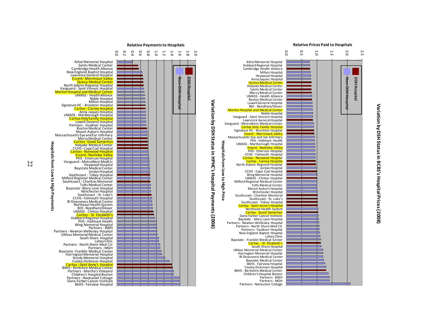![](_page_12_Figure_0.jpeg)

## Variation by DSH Status in BCBS's Hospital Prices (2008) **Variation by DSH Status in BCBS's Hospital Prices (2008)**

2.0

![](_page_12_Figure_3.jpeg)

22

**Hospitals from Low to High Payments**

Hospitals from Low to High Payments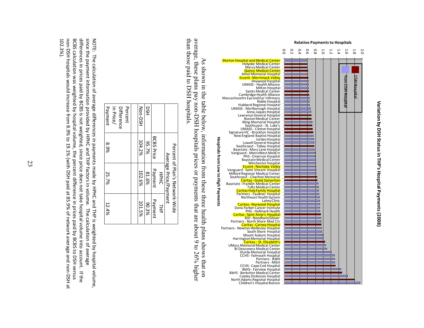![](_page_13_Figure_0.jpeg)

**Variation by DSH Status in THP's Hospital Payments (2008)**

Variation by DSH Status in THP's Hospital Payments (2008)

average, these plans pay non-DSH hospitals prices or payments that are about 9 to 26% higher than those paid to DSH hospitals. than those paid to DSH hospitals. average, these plans pay non-DSH hospitals prices or payments that are about 9 to 26% higher As shown in the table below, information from these three health plans shows that on As shown in the table below, information from these three health plans shows that on

| in Price/<br>Difference<br>Percent |
|------------------------------------|
|------------------------------------|

NOTE: The calculation of average differences in payments made by HPHC and THP is weighted by hospital volume,<br>since the payment information provided by HPHC and THP factors in volume. The calculation of average non-DSH hospitals would increase from 8.9% to 19.1% (with DSH paid at 85.9% of network average and non-DSH at BCBS calculation was weighted by hospital volume, the percent difference in prices paid by BCBS to DSH versus differences in prices paid by BCBS is not weighted, since price does not take hospital volume into account. If the 102.3%). non-DSH hospitals would increase from 8.9% to 19 BCBS calculation was weighted by hospital volume, the percent difference in prices paid by BCBS to DSH versus b differences in prices paid by BCBS is not weighted, since price does not take hospital volume into account. I since the payment information provided by HPHC and THP factors in volume. The calculation of average NOTE: The calculation of average differences in payments made by HPHC and  $F$ HPHC and  $F$  is  $\sim$   $\sigma$  in  $\sigma$  is  $\sim$   $\sigma$  in  $\sigma$  is  $\sim$   $\sigma$  in  $\sigma$  is  $\sim$   $\sigma$  in  $\sigma$  is  $\sim$   $\sigma$  in  $\sigma$  is  $\sim$   $\sigma$  in  $\sigma$  is  $\$ .1% (with DSH paid at 85.9% of network average and non-DSH at

23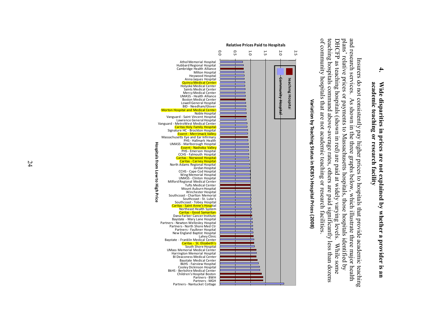## **4.** academic teaching or research facility **academic teaching or research facility**  Wide disparities in prices are not explained by whether a provider is an **Wide disparities in prices are not explained by whether a provider is an**

of community hospitals that are not academic teaching or research facilities DHCFP as teaching hospitals (shown in red) are paid at widely varying levels. While some<br>teaching hospitals command above-average rates, others are paid significantly less than dozens plans' relative prices or payments to Massachusetts hospitals, those hospitals identified by and research services. of community hospitals that are not academic teaching or research facilities. DHCFP as teaching hospitals (shown in red) are paid at widely varying levels. While some and research services. As shown in the three graphs below, which illustrate three major health g hospitals command above-average rates, others are paid significantly less than dozens Insurers do not consistently pay higher prices to hospitals that provide academic teaching Insurers do not consistently pay higher prices to hospitals that provide academic teaching lative prices or payments to Massachusetts hospitals, those hospitals identified by As shown in the three graphs below, which illustrate three major health While some

![](_page_14_Figure_2.jpeg)

# Variation by Teaching Status in BCBS's Hospital Prices (2008) **Variation by Teaching Status in BCBS's Hospital Prices (2008)**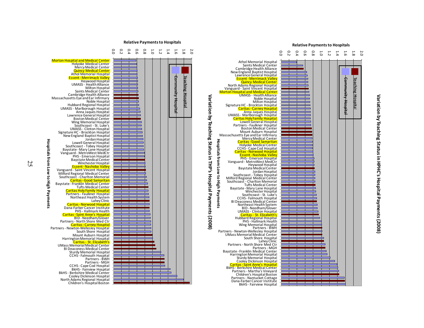# Variation by Teaching Status in HPHC's Hospital Payments (2008) **Variation by Teaching Status in HPHC's Hospital Payments (2008)**

![](_page_15_Figure_1.jpeg)

![](_page_15_Figure_2.jpeg)

![](_page_15_Figure_3.jpeg)

**Hospitals from Low to High Payments**

**High Payments** 

Hospitals from Low to

25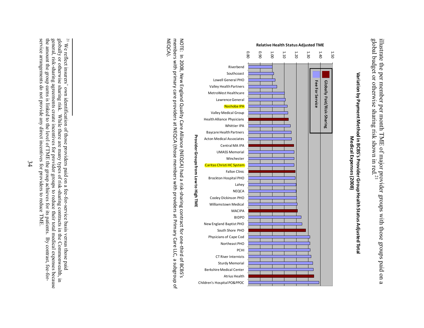global budg illustrate the per member per month TME of major provider groups with those groups paid on a et or otherwise sharing risk shown in red. 21

![](_page_16_Figure_1.jpeg)

Variation by Payment Method in BCBS's Provider Group Health Status Adjusted Total **Variation by Payment Method in BCBS's Provider Group Health Status Adjusted Total** Medical Expenses (2008) **Medical Expenses (2008)**

NEQCA). members with primary care providers at NEQCA (those members with providers at Primary Care LLC, a subgroup of NOTE: In 2008, New England Quality Care Alliance (NEQCA) had a risk-sharing contract for one-third of BCBS's members with primary care providers at NEQCA (those members with providers at Primary Care LLC, a subgroup of NOTE: In 2008, New England Quality Care Alliance (NEQCA) had a risk-sharing contract for one-third of BCBS's

 $\mathbf{r}$ 

general, risk-sharing agreements create incentives for provider groups to reduce their total medical expenses because globally or otherwise sharing risk. While there are many types of risk-sharing contracts in the Commonwealth, in <sup>21</sup> We reflect insurers' own identification of those providers paid on a fee-for-service basis versus those paid service arrangements do not provide any direct incentives for providers to reduce TME. the amount the group earns is linked to the level of TME the group achieves for its patients. service arrangements do not provide any direct incentives for providers to reduce TME. the amount the group earns is linked to the level of TME the group achieves for its patients. By contrast, fee-forgeneral, risk-sharing agreements create incentives for provider groups to reduce their total medical expenses because globally or otherwise sharing risk. While there are many types of risk-sharing contracts in the Commonwealth, in We reflect insurers' own identification of those providers paid on a fee-for-service basis versus those paid By contrast, fee-for-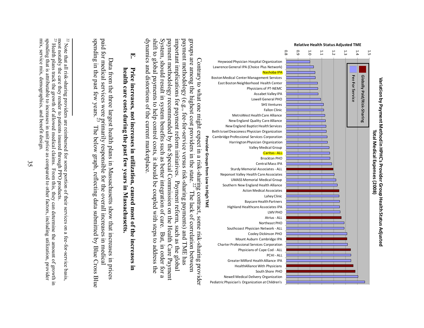![](_page_17_Figure_0.jpeg)

 $\mathbf{r}$ 

<sup>&</sup>lt;sup>22</sup> Note that all risk-sharing providers are reimbursed for some portion of their services on a fee-for-service basis, Note that all risk-sharing providers are reimbursed for some portion of their services on a fee-for-service basis, most notably the care they render to patients insured through PPO products.

most notably the care they render to patients insured through PPO products.  $^{23}$  Health plans track the growth of allowed medical claims. From this, they spending that is attributable to increases in unit price as compared to other factors, including utilization, provider mix, service mix, demographics, and benefit design. mix, service mix, demographics, and benefit design. spending that is attributable to increases in unit price as compared to other factors, including utilization, provider Health plans track the growth of allowed medical claims. From this, they can determine the amount of growth in this, they can determine the amount of growth in